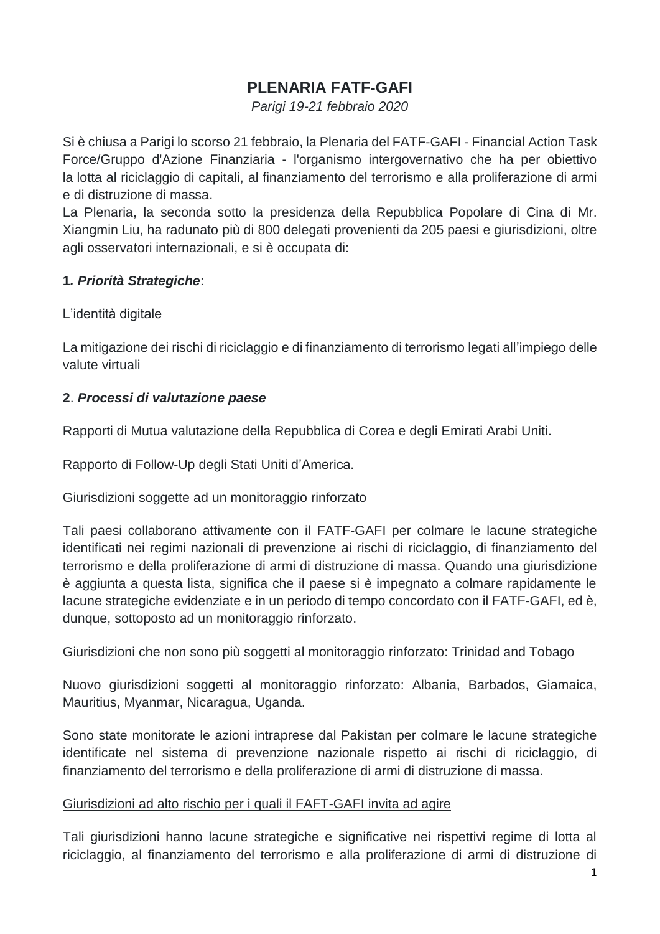# **PLENARIA FATF-GAFI**

*Parigi 19-21 febbraio 2020*

Si è chiusa a Parigi lo scorso 21 febbraio, la Plenaria del FATF-GAFI - Financial Action Task Force/Gruppo d'Azione Finanziaria - l'organismo intergovernativo che ha per obiettivo la lotta al riciclaggio di capitali, al finanziamento del terrorismo e alla proliferazione di armi e di distruzione di massa.

La Plenaria, la seconda sotto la presidenza della Repubblica Popolare di Cina di Mr. Xiangmin Liu, ha radunato più di 800 delegati provenienti da 205 paesi e giurisdizioni, oltre agli osservatori internazionali, e si è occupata di:

## **1***. Priorità Strategiche*:

## L'identità digitale

La mitigazione dei rischi di riciclaggio e di finanziamento di terrorismo legati all'impiego delle valute virtuali

## **2**. *Processi di valutazione paese*

Rapporti di Mutua valutazione della Repubblica di Corea e degli Emirati Arabi Uniti.

Rapporto di Follow-Up degli Stati Uniti d'America.

## Giurisdizioni soggette ad un monitoraggio rinforzato

Tali paesi collaborano attivamente con il FATF-GAFI per colmare le lacune strategiche identificati nei regimi nazionali di prevenzione ai rischi di riciclaggio, di finanziamento del terrorismo e della proliferazione di armi di distruzione di massa. Quando una giurisdizione è aggiunta a questa lista, significa che il paese si è impegnato a colmare rapidamente le lacune strategiche evidenziate e in un periodo di tempo concordato con il FATF-GAFI, ed è, dunque, sottoposto ad un monitoraggio rinforzato.

Giurisdizioni che non sono più soggetti al monitoraggio rinforzato: Trinidad and Tobago

Nuovo giurisdizioni soggetti al monitoraggio rinforzato: Albania, Barbados, Giamaica, Mauritius, Myanmar, Nicaragua, Uganda.

Sono state monitorate le azioni intraprese dal Pakistan per colmare le lacune strategiche identificate nel sistema di prevenzione nazionale rispetto ai rischi di riciclaggio, di finanziamento del terrorismo e della proliferazione di armi di distruzione di massa.

## Giurisdizioni ad alto rischio per i quali il FAFT-GAFI invita ad agire

Tali giurisdizioni hanno lacune strategiche e significative nei rispettivi regime di lotta al riciclaggio, al finanziamento del terrorismo e alla proliferazione di armi di distruzione di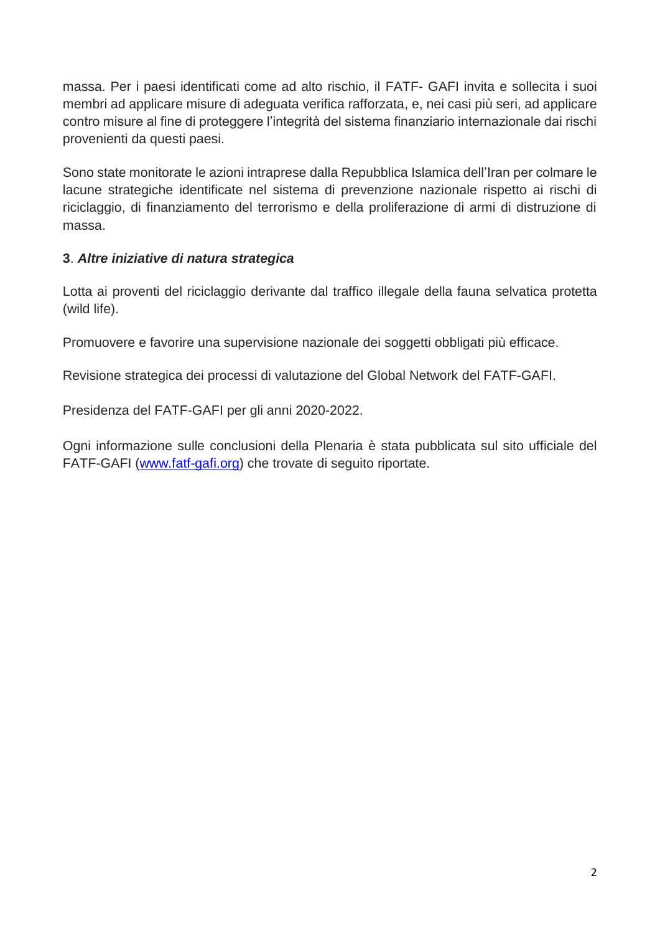massa. Per i paesi identificati come ad alto rischio, il FATF- GAFI invita e sollecita i suoi membri ad applicare misure di adeguata verifica rafforzata, e, nei casi più seri, ad applicare contro misure al fine di proteggere l'integrità del sistema finanziario internazionale dai rischi provenienti da questi paesi.

Sono state monitorate le azioni intraprese dalla Repubblica Islamica dell'Iran per colmare le lacune strategiche identificate nel sistema di prevenzione nazionale rispetto ai rischi di riciclaggio, di finanziamento del terrorismo e della proliferazione di armi di distruzione di massa.

## **3**. *Altre iniziative di natura strategica*

Lotta ai proventi del riciclaggio derivante dal traffico illegale della fauna selvatica protetta (wild life).

Promuovere e favorire una supervisione nazionale dei soggetti obbligati più efficace.

Revisione strategica dei processi di valutazione del Global Network del FATF-GAFI.

Presidenza del FATF-GAFI per gli anni 2020-2022.

Ogni informazione sulle conclusioni della Plenaria è stata pubblicata sul sito ufficiale del FATF-GAFI [\(www.fatf-gafi.org\)](http://www.fatf-gafi.org/) che trovate di seguito riportate.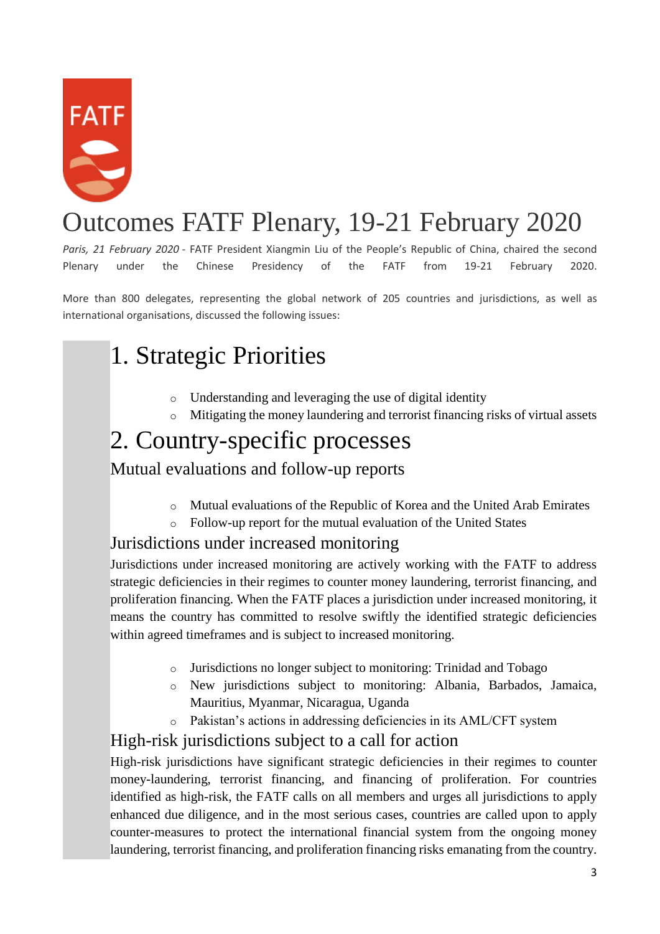

# Outcomes FATF Plenary, 19-21 February 2020

*Paris, 21 February 2020* - FATF President Xiangmin Liu of the People's Republic of China, chaired the second Plenary under the Chinese Presidency of the FATF from 19-21 February 2020.

More than 800 delegates, representing the global network of 205 countries and jurisdictions, as well as international organisations, discussed the following issues:

# 1. Strategic Priorities

- o Understanding and leveraging the use of digital identity
- o Mitigating the money laundering and terrorist financing risks of virtual assets

# 2. Country-specific processes

# Mutual evaluations and follow-up reports

- o Mutual evaluations of the Republic of Korea and the United Arab Emirates
- o Follow-up report for the mutual evaluation of the United States

# Jurisdictions under increased monitoring

Jurisdictions under increased monitoring are actively working with the FATF to address strategic deficiencies in their regimes to counter money laundering, terrorist financing, and proliferation financing. When the FATF places a jurisdiction under increased monitoring, it means the country has committed to resolve swiftly the identified strategic deficiencies within agreed timeframes and is subject to increased monitoring.

- o Jurisdictions no longer subject to monitoring: Trinidad and Tobago
- o New jurisdictions subject to monitoring: Albania, Barbados, Jamaica, Mauritius, Myanmar, Nicaragua, Uganda
- o Pakistan's actions in addressing deficiencies in its AML/CFT system

# High-risk jurisdictions subject to a call for action

High-risk jurisdictions have significant strategic deficiencies in their regimes to counter money-laundering, terrorist financing, and financing of proliferation. For countries identified as high-risk, the FATF calls on all members and urges all jurisdictions to apply enhanced due diligence, and in the most serious cases, countries are called upon to apply counter-measures to protect the international financial system from the ongoing money laundering, terrorist financing, and proliferation financing risks emanating from the country.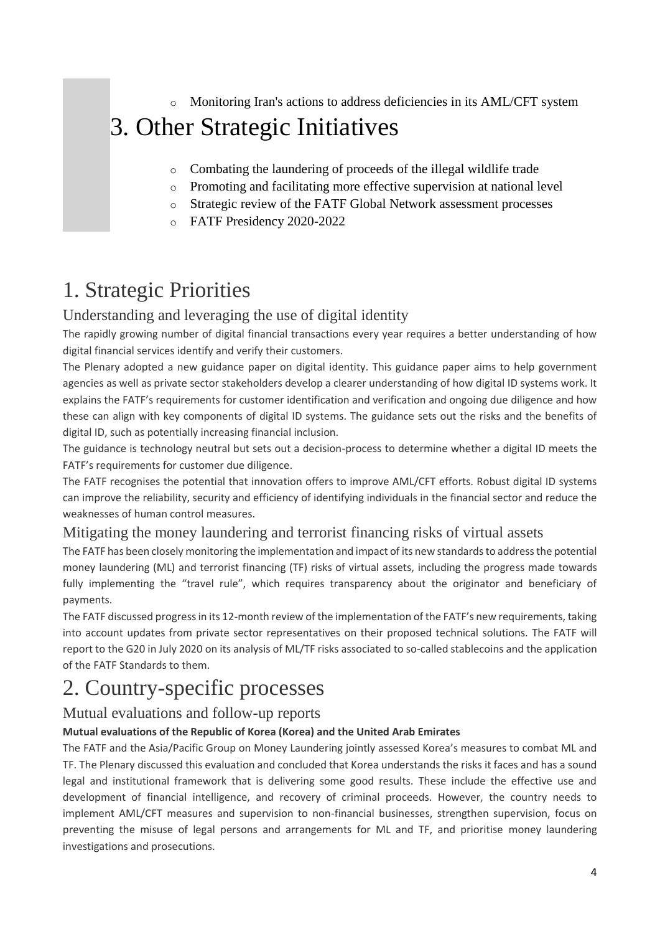o Monitoring Iran's actions to address deficiencies in its AML/CFT system

# 3. Other Strategic Initiatives

- o Combating the laundering of proceeds of the illegal wildlife trade
- o Promoting and facilitating more effective supervision at national level
- o Strategic review of the FATF Global Network assessment processes
- o FATF Presidency 2020-2022

# 1. Strategic Priorities

## Understanding and leveraging the use of digital identity

The rapidly growing number of digital financial transactions every year requires a better understanding of how digital financial services identify and verify their customers.

The Plenary adopted a new guidance paper on digital identity. This guidance paper aims to help government agencies as well as private sector stakeholders develop a clearer understanding of how digital ID systems work. It explains the FATF's requirements for customer identification and verification and ongoing due diligence and how these can align with key components of digital ID systems. The guidance sets out the risks and the benefits of digital ID, such as potentially increasing financial inclusion.

The guidance is technology neutral but sets out a decision-process to determine whether a digital ID meets the FATF's requirements for customer due diligence.

The FATF recognises the potential that innovation offers to improve AML/CFT efforts. Robust digital ID systems can improve the reliability, security and efficiency of identifying individuals in the financial sector and reduce the weaknesses of human control measures.

# Mitigating the money laundering and terrorist financing risks of virtual assets

The FATF has been closely monitoring the implementation and impact of its new standards to address the potential money laundering (ML) and terrorist financing (TF) risks of virtual assets, including the progress made towards fully implementing the "travel rule", which requires transparency about the originator and beneficiary of payments.

The FATF discussed progress in its 12-month review of the implementation of the FATF's new requirements, taking into account updates from private sector representatives on their proposed technical solutions. The FATF will report to the G20 in July 2020 on its analysis of ML/TF risks associated to so-called stablecoins and the application of the FATF Standards to them.

# 2. Country-specific processes

## Mutual evaluations and follow-up reports

#### **Mutual evaluations of the Republic of Korea (Korea) and the United Arab Emirates**

The FATF and the Asia/Pacific Group on Money Laundering jointly assessed Korea's measures to combat ML and TF. The Plenary discussed this evaluation and concluded that Korea understands the risks it faces and has a sound legal and institutional framework that is delivering some good results. These include the effective use and development of financial intelligence, and recovery of criminal proceeds. However, the country needs to implement AML/CFT measures and supervision to non-financial businesses, strengthen supervision, focus on preventing the misuse of legal persons and arrangements for ML and TF, and prioritise money laundering investigations and prosecutions.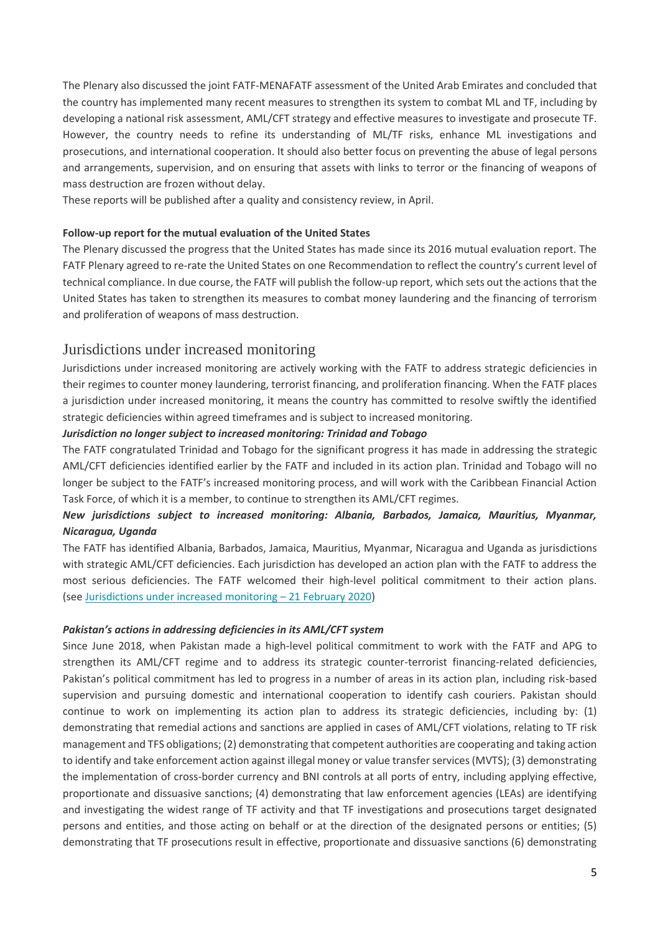The Plenary also discussed the joint FATF-MENAFATF assessment of the United Arab Emirates and concluded that the country has implemented many recent measures to strengthen its system to combat ML and TF, including by developing a national risk assessment, AML/CFT strategy and effective measures to investigate and prosecute TF. However, the country needs to refine its understanding of ML/TF risks, enhance ML investigations and prosecutions, and international cooperation. It should also better focus on preventing the abuse of legal persons and arrangements, supervision, and on ensuring that assets with links to terror or the financing of weapons of mass destruction are frozen without delay.

These reports will be published after a quality and consistency review, in April.

#### **Follow-up report for the mutual evaluation of the United States**

The Plenary discussed the progress that the United States has made since its 2016 mutual evaluation report. The FATF Plenary agreed to re-rate the United States on one Recommendation to reflect the country's current level of technical compliance. In due course, the FATF will publish the follow-up report, which sets out the actions that the United States has taken to strengthen its measures to combat money laundering and the financing of terrorism and proliferation of weapons of mass destruction.

#### Jurisdictions under increased monitoring

Jurisdictions under increased monitoring are actively working with the FATF to address strategic deficiencies in their regimes to counter money laundering, terrorist financing, and proliferation financing. When the FATF places a jurisdiction under increased monitoring, it means the country has committed to resolve swiftly the identified strategic deficiencies within agreed timeframes and is subject to increased monitoring.

#### *Jurisdiction no longer subject to increased monitoring: Trinidad and Tobago*

The FATF congratulated Trinidad and Tobago for the significant progress it has made in addressing the strategic AML/CFT deficiencies identified earlier by the FATF and included in its action plan. Trinidad and Tobago will no longer be subject to the FATF's increased monitoring process, and will work with the Caribbean Financial Action Task Force, of which it is a member, to continue to strengthen its AML/CFT regimes.

#### *New jurisdictions subject to increased monitoring: Albania, Barbados, Jamaica, Mauritius, Myanmar, Nicaragua, Uganda*

The FATF has identified Albania, Barbados, Jamaica, Mauritius, Myanmar, Nicaragua and Uganda as jurisdictions with strategic AML/CFT deficiencies. Each jurisdiction has developed an action plan with the FATF to address the most serious deficiencies. The FATF welcomed their high-level political commitment to their action plans. (see [Jurisdictions under increased monitoring](http://www.fatf-gafi.org/publications/high-risk-and-other-monitored-jurisdictions/documents/increased-monitoring-february-2020.html) – 21 February 2020)

#### *Pakistan's actions in addressing deficiencies in its AML/CFT system*

Since June 2018, when Pakistan made a high-level political commitment to work with the FATF and APG to strengthen its AML/CFT regime and to address its strategic counter-terrorist financing-related deficiencies, Pakistan's political commitment has led to progress in a number of areas in its action plan, including risk-based supervision and pursuing domestic and international cooperation to identify cash couriers. Pakistan should continue to work on implementing its action plan to address its strategic deficiencies, including by: (1) demonstrating that remedial actions and sanctions are applied in cases of AML/CFT violations, relating to TF risk management and TFS obligations; (2) demonstrating that competent authorities are cooperating and taking action to identify and take enforcement action against illegal money or value transfer services (MVTS); (3) demonstrating the implementation of cross-border currency and BNI controls at all ports of entry, including applying effective, proportionate and dissuasive sanctions; (4) demonstrating that law enforcement agencies (LEAs) are identifying and investigating the widest range of TF activity and that TF investigations and prosecutions target designated persons and entities, and those acting on behalf or at the direction of the designated persons or entities; (5) demonstrating that TF prosecutions result in effective, proportionate and dissuasive sanctions (6) demonstrating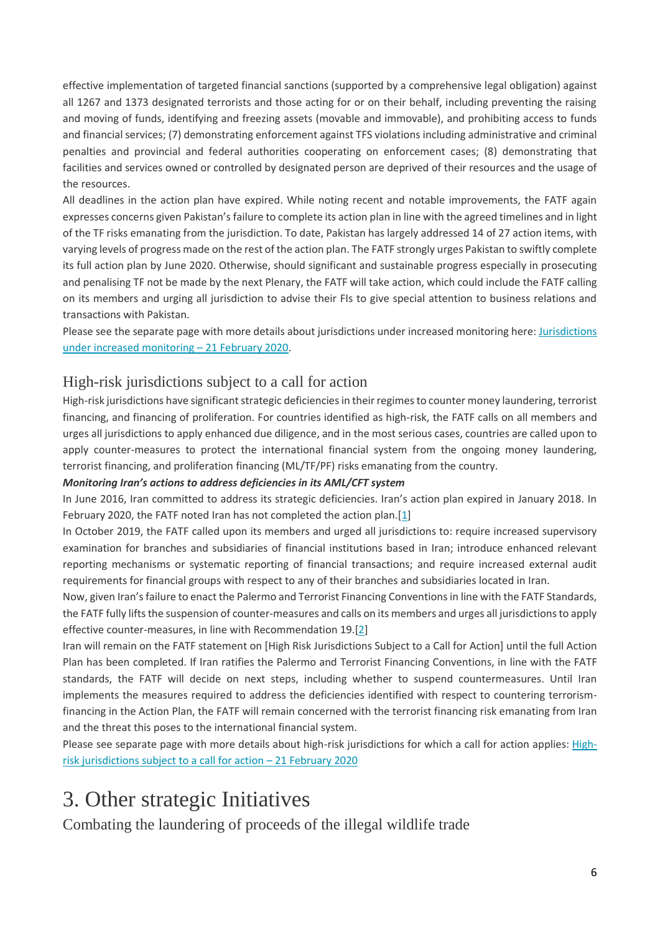effective implementation of targeted financial sanctions (supported by a comprehensive legal obligation) against all 1267 and 1373 designated terrorists and those acting for or on their behalf, including preventing the raising and moving of funds, identifying and freezing assets (movable and immovable), and prohibiting access to funds and financial services; (7) demonstrating enforcement against TFS violations including administrative and criminal penalties and provincial and federal authorities cooperating on enforcement cases; (8) demonstrating that facilities and services owned or controlled by designated person are deprived of their resources and the usage of the resources.

All deadlines in the action plan have expired. While noting recent and notable improvements, the FATF again expresses concerns given Pakistan's failure to complete its action plan in line with the agreed timelines and in light of the TF risks emanating from the jurisdiction. To date, Pakistan has largely addressed 14 of 27 action items, with varying levels of progress made on the rest of the action plan. The FATF strongly urges Pakistan to swiftly complete its full action plan by June 2020. Otherwise, should significant and sustainable progress especially in prosecuting and penalising TF not be made by the next Plenary, the FATF will take action, which could include the FATF calling on its members and urging all jurisdiction to advise their FIs to give special attention to business relations and transactions with Pakistan.

Please see the separate page with more details about jurisdictions under increased monitoring here: [Jurisdictions](http://www.fatf-gafi.org/publications/high-risk-and-other-monitored-jurisdictions/documents/increased-monitoring-february-2020.html)  [under increased monitoring](http://www.fatf-gafi.org/publications/high-risk-and-other-monitored-jurisdictions/documents/increased-monitoring-february-2020.html) – 21 February 2020.

## High-risk jurisdictions subject to a call for action

High-risk jurisdictions have significant strategic deficiencies in their regimes to counter money laundering, terrorist financing, and financing of proliferation. For countries identified as high-risk, the FATF calls on all members and urges all jurisdictions to apply enhanced due diligence, and in the most serious cases, countries are called upon to apply counter-measures to protect the international financial system from the ongoing money laundering, terrorist financing, and proliferation financing (ML/TF/PF) risks emanating from the country.

#### *Monitoring Iran's actions to address deficiencies in its AML/CFT system*

In June 2016, Iran committed to address its strategic deficiencies. Iran's action plan expired in January 2018. In February 2020, the FATF noted Iran has not completed the action plan.[\[1\]](http://www.fatf-gafi.org/publications/fatfgeneral/documents/outcomes-fatf-plenary-february-2020.html#fn1)

In October 2019, the FATF called upon its members and urged all jurisdictions to: require increased supervisory examination for branches and subsidiaries of financial institutions based in Iran; introduce enhanced relevant reporting mechanisms or systematic reporting of financial transactions; and require increased external audit requirements for financial groups with respect to any of their branches and subsidiaries located in Iran.

Now, given Iran's failure to enact the Palermo and Terrorist Financing Conventions in line with the FATF Standards, the FATF fully lifts the suspension of counter-measures and calls on its members and urges all jurisdictions to apply effective counter-measures, in line with Recommendation 19.[\[2\]](http://www.fatf-gafi.org/publications/fatfgeneral/documents/outcomes-fatf-plenary-february-2020.html#fn2)

Iran will remain on the FATF statement on [High Risk Jurisdictions Subject to a Call for Action] until the full Action Plan has been completed. If Iran ratifies the Palermo and Terrorist Financing Conventions, in line with the FATF standards, the FATF will decide on next steps, including whether to suspend countermeasures. Until Iran implements the measures required to address the deficiencies identified with respect to countering terrorismfinancing in the Action Plan, the FATF will remain concerned with the terrorist financing risk emanating from Iran and the threat this poses to the international financial system.

Please see separate page with more details about high-risk jurisdictions for which a call for action applies: [High](http://www.fatf-gafi.org/publications/high-risk-and-other-monitored-jurisdictions/documents/call-for-action-february-2020.html)[risk jurisdictions subject to a call for action](http://www.fatf-gafi.org/publications/high-risk-and-other-monitored-jurisdictions/documents/call-for-action-february-2020.html) – 21 February 2020

# 3. Other strategic Initiatives

Combating the laundering of proceeds of the illegal wildlife trade